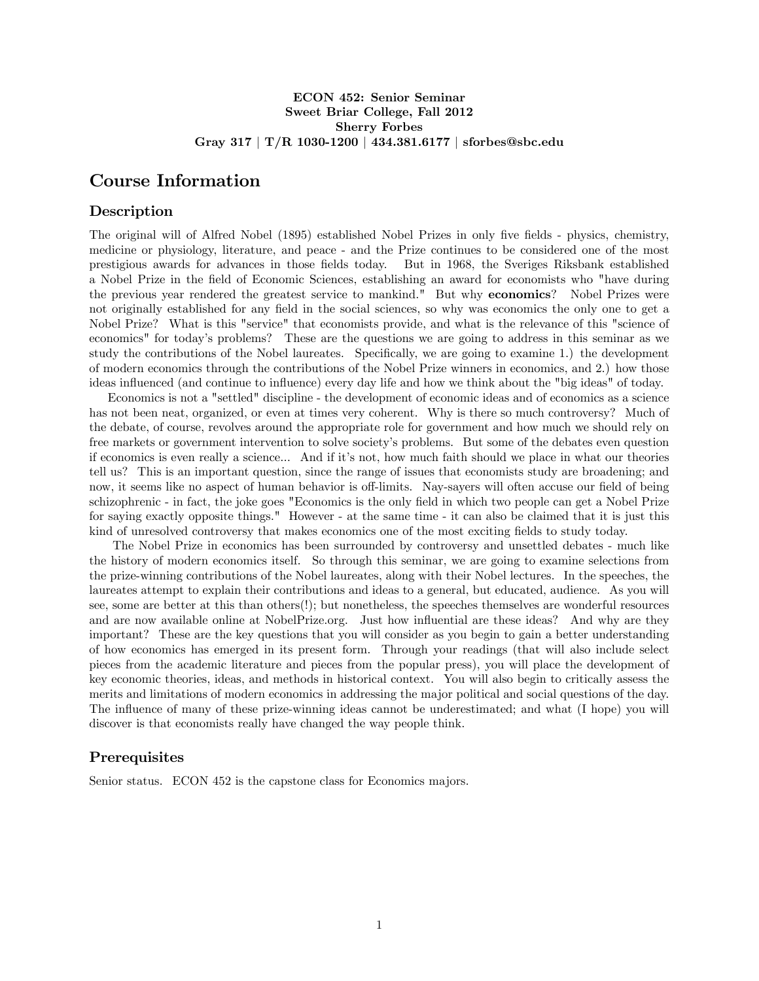# ECON 452: Senior Seminar Sweet Briar College, Fall 2012 Sherry Forbes Gray 317 | T/R 1030-1200 | 434.381.6177 | sforbes@sbc.edu

# Course Information

# Description

The original will of Alfred Nobel (1895) established Nobel Prizes in only five fields - physics, chemistry, medicine or physiology, literature, and peace - and the Prize continues to be considered one of the most prestigious awards for advances in those Öelds today. But in 1968, the Sveriges Riksbank established a Nobel Prize in the Öeld of Economic Sciences, establishing an award for economists who "have during the previous year rendered the greatest service to mankind." But why economics? Nobel Prizes were not originally established for any field in the social sciences, so why was economics the only one to get a Nobel Prize? What is this "service" that economists provide, and what is the relevance of this "science of economics" for todayís problems? These are the questions we are going to address in this seminar as we study the contributions of the Nobel laureates. Specifically, we are going to examine 1.) the development of modern economics through the contributions of the Nobel Prize winners in economics, and 2.) how those ideas influenced (and continue to influence) every day life and how we think about the "big ideas" of today.

Economics is not a "settled" discipline - the development of economic ideas and of economics as a science has not been neat, organized, or even at times very coherent. Why is there so much controversy? Much of the debate, of course, revolves around the appropriate role for government and how much we should rely on free markets or government intervention to solve society's problems. But some of the debates even question if economics is even really a science... And if itís not, how much faith should we place in what our theories tell us? This is an important question, since the range of issues that economists study are broadening; and now, it seems like no aspect of human behavior is off-limits. Nay-sayers will often accuse our field of being schizophrenic - in fact, the joke goes "Economics is the only field in which two people can get a Nobel Prize for saying exactly opposite things." However - at the same time - it can also be claimed that it is just this kind of unresolved controversy that makes economics one of the most exciting fields to study today.

The Nobel Prize in economics has been surrounded by controversy and unsettled debates - much like the history of modern economics itself. So through this seminar, we are going to examine selections from the prize-winning contributions of the Nobel laureates, along with their Nobel lectures. In the speeches, the laureates attempt to explain their contributions and ideas to a general, but educated, audience. As you will see, some are better at this than others(!); but nonetheless, the speeches themselves are wonderful resources and are now available online at NobelPrize.org. Just how influential are these ideas? And why are they important? These are the key questions that you will consider as you begin to gain a better understanding of how economics has emerged in its present form. Through your readings (that will also include select pieces from the academic literature and pieces from the popular press), you will place the development of key economic theories, ideas, and methods in historical context. You will also begin to critically assess the merits and limitations of modern economics in addressing the major political and social questions of the day. The influence of many of these prize-winning ideas cannot be underestimated; and what (I hope) you will discover is that economists really have changed the way people think.

# **Prerequisites**

Senior status. ECON 452 is the capstone class for Economics majors.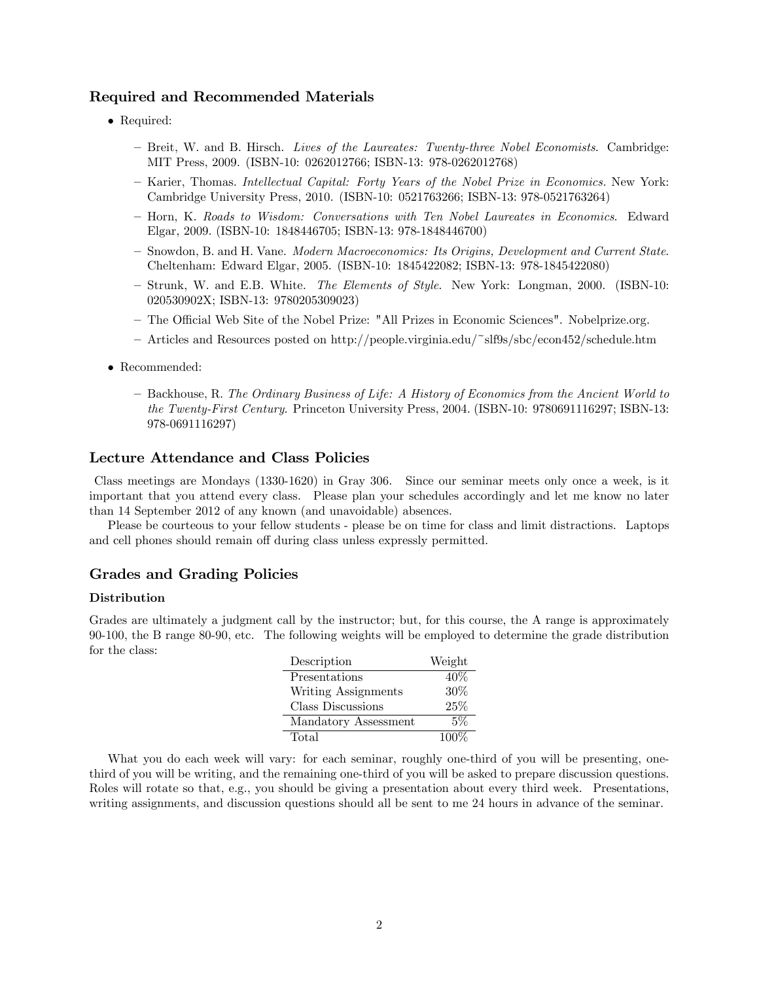# Required and Recommended Materials

- Required:
	- Breit, W. and B. Hirsch. Lives of the Laureates: Twenty-three Nobel Economists. Cambridge: MIT Press, 2009. (ISBN-10: 0262012766; ISBN-13: 978-0262012768)
	- Karier, Thomas. Intellectual Capital: Forty Years of the Nobel Prize in Economics. New York: Cambridge University Press, 2010. (ISBN-10: 0521763266; ISBN-13: 978-0521763264)
	- ñ Horn, K. Roads to Wisdom: Conversations with Ten Nobel Laureates in Economics. Edward Elgar, 2009. (ISBN-10: 1848446705; ISBN-13: 978-1848446700)
	- Snowdon, B. and H. Vane. Modern Macroeconomics: Its Origins, Development and Current State. Cheltenham: Edward Elgar, 2005. (ISBN-10: 1845422082; ISBN-13: 978-1845422080)
	- Strunk, W. and E.B. White. The Elements of Style. New York: Longman, 2000. (ISBN-10: 020530902X; ISBN-13: 9780205309023)
	- ñ The O¢ cial Web Site of the Nobel Prize: "All Prizes in Economic Sciences". Nobelprize.org.
	- ñ Articles and Resources posted on http://people.virginia.edu/~slf9s/sbc/econ452/schedule.htm
- Recommended:
	- Backhouse, R. The Ordinary Business of Life: A History of Economics from the Ancient World to the Twenty-First Century. Princeton University Press, 2004. (ISBN-10: 9780691116297; ISBN-13: 978-0691116297)

# Lecture Attendance and Class Policies

Class meetings are Mondays (1330-1620) in Gray 306. Since our seminar meets only once a week, is it important that you attend every class. Please plan your schedules accordingly and let me know no later than 14 September 2012 of any known (and unavoidable) absences.

Please be courteous to your fellow students - please be on time for class and limit distractions. Laptops and cell phones should remain off during class unless expressly permitted.

### Grades and Grading Policies

#### Distribution

Grades are ultimately a judgment call by the instructor; but, for this course, the A range is approximately 90-100, the B range 80-90, etc. The following weights will be employed to determine the grade distribution for the class:

| Description          | Weight  |
|----------------------|---------|
| Presentations        | 40%     |
| Writing Assignments  | 30%     |
| Class Discussions    | 25%     |
| Mandatory Assessment | 5%      |
| Total                | $100\%$ |

What you do each week will vary: for each seminar, roughly one-third of you will be presenting, onethird of you will be writing, and the remaining one-third of you will be asked to prepare discussion questions. Roles will rotate so that, e.g., you should be giving a presentation about every third week. Presentations, writing assignments, and discussion questions should all be sent to me 24 hours in advance of the seminar.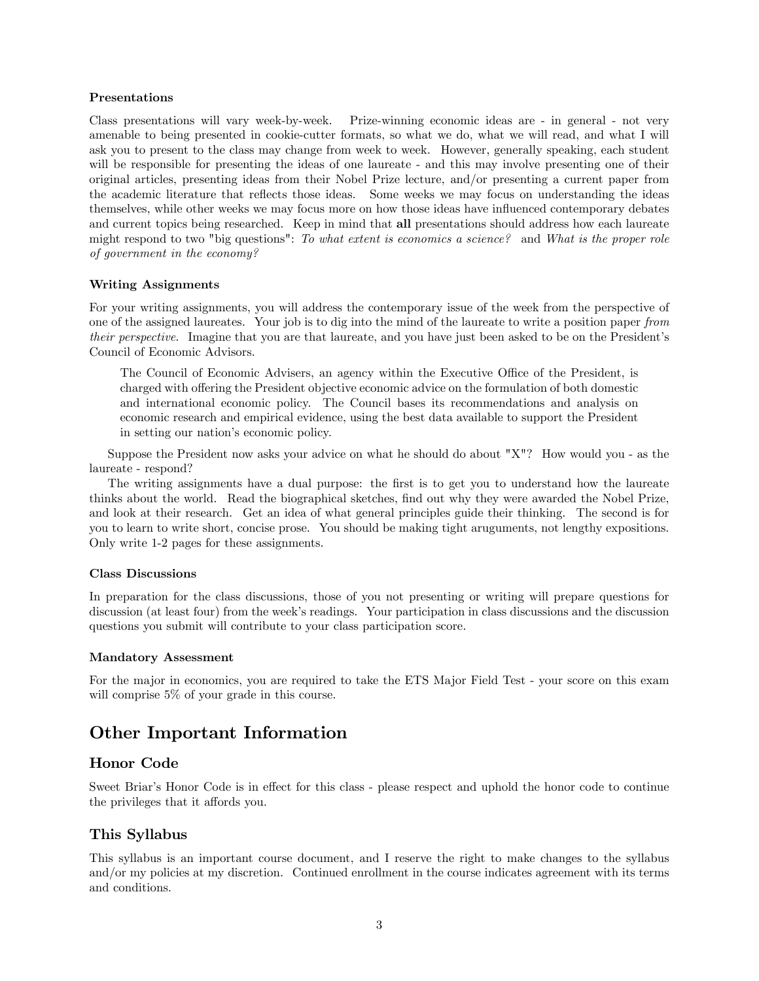#### Presentations

Class presentations will vary week-by-week. Prize-winning economic ideas are - in general - not very amenable to being presented in cookie-cutter formats, so what we do, what we will read, and what I will ask you to present to the class may change from week to week. However, generally speaking, each student will be responsible for presenting the ideas of one laureate - and this may involve presenting one of their original articles, presenting ideas from their Nobel Prize lecture, and/or presenting a current paper from the academic literature that reflects those ideas. Some weeks we may focus on understanding the ideas themselves, while other weeks we may focus more on how those ideas have ináuenced contemporary debates and current topics being researched. Keep in mind that all presentations should address how each laureate might respond to two "big questions": To what extent is economics a science? and What is the proper role of government in the economy?

#### Writing Assignments

For your writing assignments, you will address the contemporary issue of the week from the perspective of one of the assigned laureates. Your job is to dig into the mind of the laureate to write a position paper from their perspective. Imagine that you are that laureate, and you have just been asked to be on the President's Council of Economic Advisors.

The Council of Economic Advisers, an agency within the Executive Office of the President, is charged with offering the President objective economic advice on the formulation of both domestic and international economic policy. The Council bases its recommendations and analysis on economic research and empirical evidence, using the best data available to support the President in setting our nation's economic policy.

Suppose the President now asks your advice on what he should do about "X"? How would you - as the laureate - respond?

The writing assignments have a dual purpose: the first is to get you to understand how the laureate thinks about the world. Read the biographical sketches, find out why they were awarded the Nobel Prize, and look at their research. Get an idea of what general principles guide their thinking. The second is for you to learn to write short, concise prose. You should be making tight aruguments, not lengthy expositions. Only write 1-2 pages for these assignments.

#### Class Discussions

In preparation for the class discussions, those of you not presenting or writing will prepare questions for discussion (at least four) from the week's readings. Your participation in class discussions and the discussion questions you submit will contribute to your class participation score.

#### Mandatory Assessment

For the major in economics, you are required to take the ETS Major Field Test - your score on this exam will comprise 5% of your grade in this course.

# Other Important Information

# Honor Code

Sweet Briar's Honor Code is in effect for this class - please respect and uphold the honor code to continue the privileges that it affords you.

# This Syllabus

This syllabus is an important course document, and I reserve the right to make changes to the syllabus and/or my policies at my discretion. Continued enrollment in the course indicates agreement with its terms and conditions.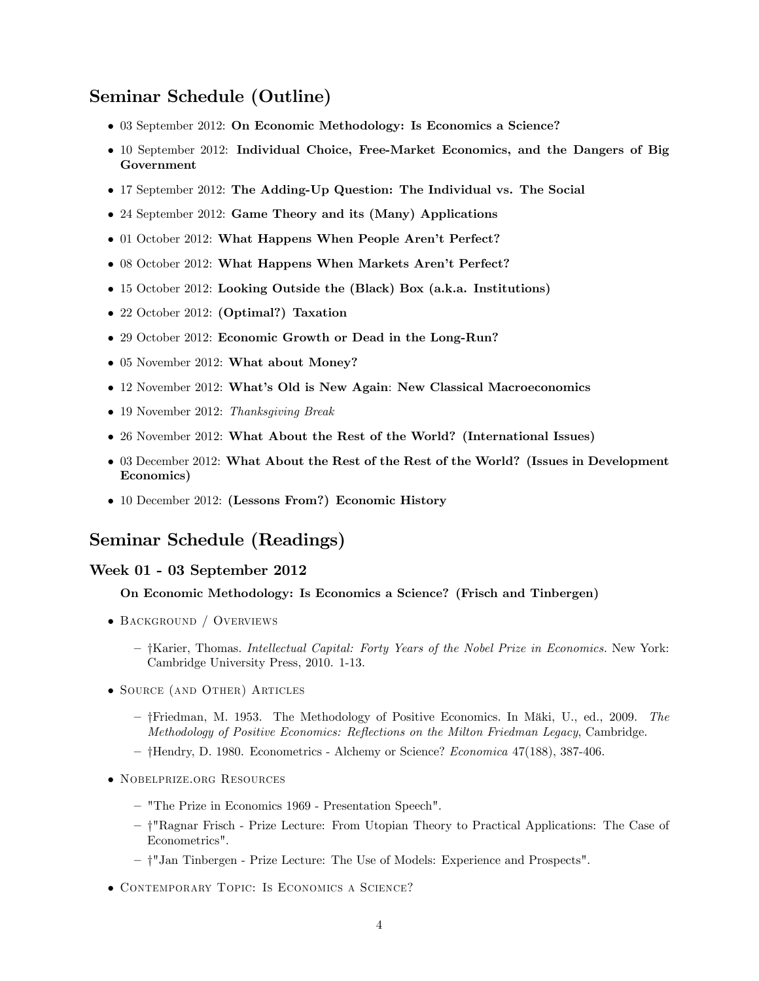# Seminar Schedule (Outline)

- 03 September 2012: On Economic Methodology: Is Economics a Science?
- 10 September 2012: Individual Choice, Free-Market Economics, and the Dangers of Big Government
- 17 September 2012: The Adding-Up Question: The Individual vs. The Social
- 24 September 2012: Game Theory and its (Many) Applications
- 01 October 2012: What Happens When People Aren't Perfect?
- 08 October 2012: What Happens When Markets Aren't Perfect?
- 15 October 2012: Looking Outside the (Black) Box (a.k.a. Institutions)
- 22 October 2012: (Optimal?) Taxation
- 29 October 2012: Economic Growth or Dead in the Long-Run?
- 05 November 2012: What about Money?
- 12 November 2012: What's Old is New Again: New Classical Macroeconomics
- 19 November 2012: Thanksgiving Break
- 26 November 2012: What About the Rest of the World? (International Issues)
- 03 December 2012: What About the Rest of the Rest of the World? (Issues in Development Economics)
- 10 December 2012: (Lessons From?) Economic History

# Seminar Schedule (Readings)

### Week 01 - 03 September 2012

## On Economic Methodology: Is Economics a Science? (Frisch and Tinbergen)

- BACKGROUND / OVERVIEWS
	- $-$  †Karier, Thomas. Intellectual Capital: Forty Years of the Nobel Prize in Economics. New York: Cambridge University Press, 2010. 1-13.
- Source (and Other) Articles
	- $-$  †Friedman, M. 1953. The Methodology of Positive Economics. In Mäki, U., ed., 2009. The Methodology of Positive Economics: Reflections on the Milton Friedman Legacy, Cambridge.
	- $-$  †Hendry, D. 1980. Econometrics Alchemy or Science? Economica 47(188), 387-406.
- Nobelprize.org Resources
	- "The Prize in Economics 1969 Presentation Speech".
	- ñ y"Ragnar Frisch Prize Lecture: From Utopian Theory to Practical Applications: The Case of Econometrics".
	- ñ y"Jan Tinbergen Prize Lecture: The Use of Models: Experience and Prospects".
- Contemporary Topic: Is Economics a Science?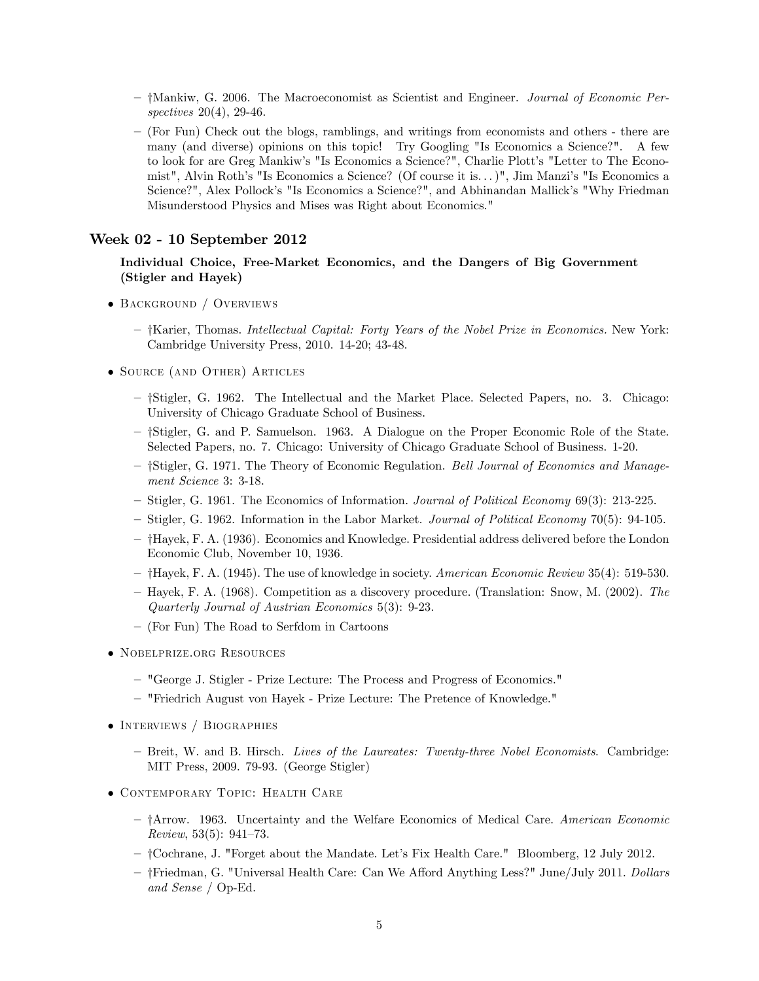- ñ yMankiw, G. 2006. The Macroeconomist as Scientist and Engineer. Journal of Economic Perspectives 20(4), 29-46.
- ñ (For Fun) Check out the blogs, ramblings, and writings from economists and others there are many (and diverse) opinions on this topic! Try Googling "Is Economics a Science?". A few to look for are Greg Mankiw's "Is Economics a Science?", Charlie Plott's "Letter to The Economist", Alvin Roth's "Is Economics a Science? (Of course it is...)", Jim Manzi's "Is Economics a Science?", Alex Pollock's "Is Economics a Science?", and Abhinandan Mallick's "Why Friedman Misunderstood Physics and Mises was Right about Economics."

### Week 02 - 10 September 2012

## Individual Choice, Free-Market Economics, and the Dangers of Big Government (Stigler and Hayek)

- BACKGROUND / OVERVIEWS
	- $-$  †Karier, Thomas. Intellectual Capital: Forty Years of the Nobel Prize in Economics. New York: Cambridge University Press, 2010. 14-20; 43-48.
- Source (and Other) Articles
	- †Stigler, G. 1962. The Intellectual and the Market Place. Selected Papers, no. 3. Chicago: University of Chicago Graduate School of Business.
	- $-$  †Stigler, G. and P. Samuelson. 1963. A Dialogue on the Proper Economic Role of the State. Selected Papers, no. 7. Chicago: University of Chicago Graduate School of Business. 1-20.
	- †Stigler, G. 1971. The Theory of Economic Regulation. Bell Journal of Economics and Management Science 3: 3-18.
	- ñ Stigler, G. 1961. The Economics of Information. Journal of Political Economy 69(3): 213-225.
	- ñ Stigler, G. 1962. Information in the Labor Market. Journal of Political Economy 70(5): 94-105.
	- ñ yHayek, F. A. (1936). Economics and Knowledge. Presidential address delivered before the London Economic Club, November 10, 1936.
	- $-$  †Hayek, F. A. (1945). The use of knowledge in society. American Economic Review 35(4): 519-530.
	- Hayek, F. A. (1968). Competition as a discovery procedure. (Translation: Snow, M. (2002). The Quarterly Journal of Austrian Economics 5(3): 9-23.
	- ñ (For Fun) The Road to Serfdom in Cartoons
- Nobelprize.org Resources
	- ñ "George J. Stigler Prize Lecture: The Process and Progress of Economics."
	- ñ "Friedrich August von Hayek Prize Lecture: The Pretence of Knowledge."
- INTERVIEWS / BIOGRAPHIES
	- Breit, W. and B. Hirsch. Lives of the Laureates: Twenty-three Nobel Economists. Cambridge: MIT Press, 2009. 79-93. (George Stigler)
- Contemporary Topic: Health Care
	- †Arrow. 1963. Uncertainty and the Welfare Economics of Medical Care. American Economic Review,  $53(5)$ :  $941-73$ .
	- ñ yCochrane, J. "Forget about the Mandate. Letís Fix Health Care." Bloomberg, 12 July 2012.
	- $-$  †Friedman, G. "Universal Health Care: Can We Afford Anything Less?" June/July 2011. Dollars and Sense / Op-Ed.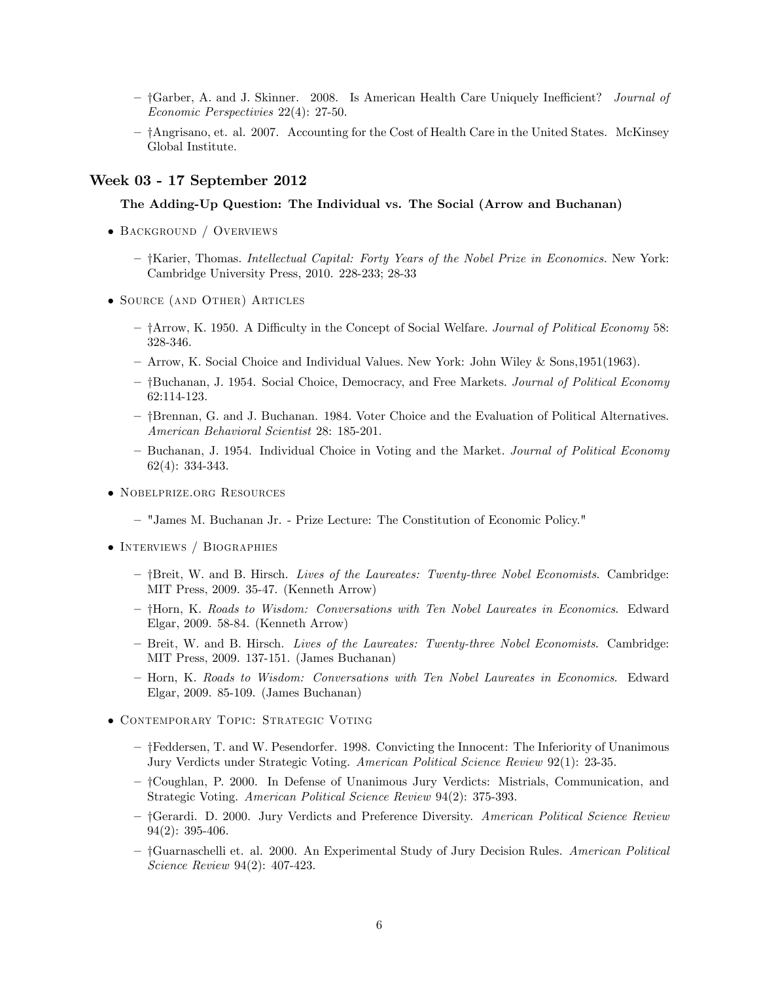- †Garber, A. and J. Skinner. 2008. Is American Health Care Uniquely Inefficient? *Journal of* Economic Perspectivies 22(4): 27-50.
- $-$  †Angrisano, et. al. 2007. Accounting for the Cost of Health Care in the United States. McKinsey Global Institute.

### Week 03 - 17 September 2012

## The Adding-Up Question: The Individual vs. The Social (Arrow and Buchanan)

- Background / Overviews
	- $-$  †Karier, Thomas. Intellectual Capital: Forty Years of the Nobel Prize in Economics. New York: Cambridge University Press, 2010. 228-233; 28-33
- Source (and Other) Articles
	- <sup>-</sup> †Arrow, K. 1950. A Difficulty in the Concept of Social Welfare. *Journal of Political Economy* 58: 328-346.
	- ñ Arrow, K. Social Choice and Individual Values. New York: John Wiley & Sons,1951(1963).
	- †Buchanan, J. 1954. Social Choice, Democracy, and Free Markets. Journal of Political Economy 62:114-123.
	- $-$  †Brennan, G. and J. Buchanan. 1984. Voter Choice and the Evaluation of Political Alternatives. American Behavioral Scientist 28: 185-201.
	- Buchanan, J. 1954. Individual Choice in Voting and the Market. Journal of Political Economy 62(4): 334-343.
- Nobelprize.org Resources
	- ñ "James M. Buchanan Jr. Prize Lecture: The Constitution of Economic Policy."
- INTERVIEWS / BIOGRAPHIES
	- $-$  †Breit, W. and B. Hirsch. Lives of the Laureates: Twenty-three Nobel Economists. Cambridge: MIT Press, 2009. 35-47. (Kenneth Arrow)
	- $-$  †Horn, K. Roads to Wisdom: Conversations with Ten Nobel Laureates in Economics. Edward Elgar, 2009. 58-84. (Kenneth Arrow)
	- Breit, W. and B. Hirsch. Lives of the Laureates: Twenty-three Nobel Economists. Cambridge: MIT Press, 2009. 137-151. (James Buchanan)
	- Horn, K. Roads to Wisdom: Conversations with Ten Nobel Laureates in Economics. Edward Elgar, 2009. 85-109. (James Buchanan)
- Contemporary Topic: Strategic Voting
	- ñ yFeddersen, T. and W. Pesendorfer. 1998. Convicting the Innocent: The Inferiority of Unanimous Jury Verdicts under Strategic Voting. American Political Science Review 92(1): 23-35.
	- ñ yCoughlan, P. 2000. In Defense of Unanimous Jury Verdicts: Mistrials, Communication, and Strategic Voting. American Political Science Review 94(2): 375-393.
	- †Gerardi. D. 2000. Jury Verdicts and Preference Diversity. American Political Science Review 94(2): 395-406.
	- †Guarnaschelli et. al. 2000. An Experimental Study of Jury Decision Rules. American Political Science Review 94(2): 407-423.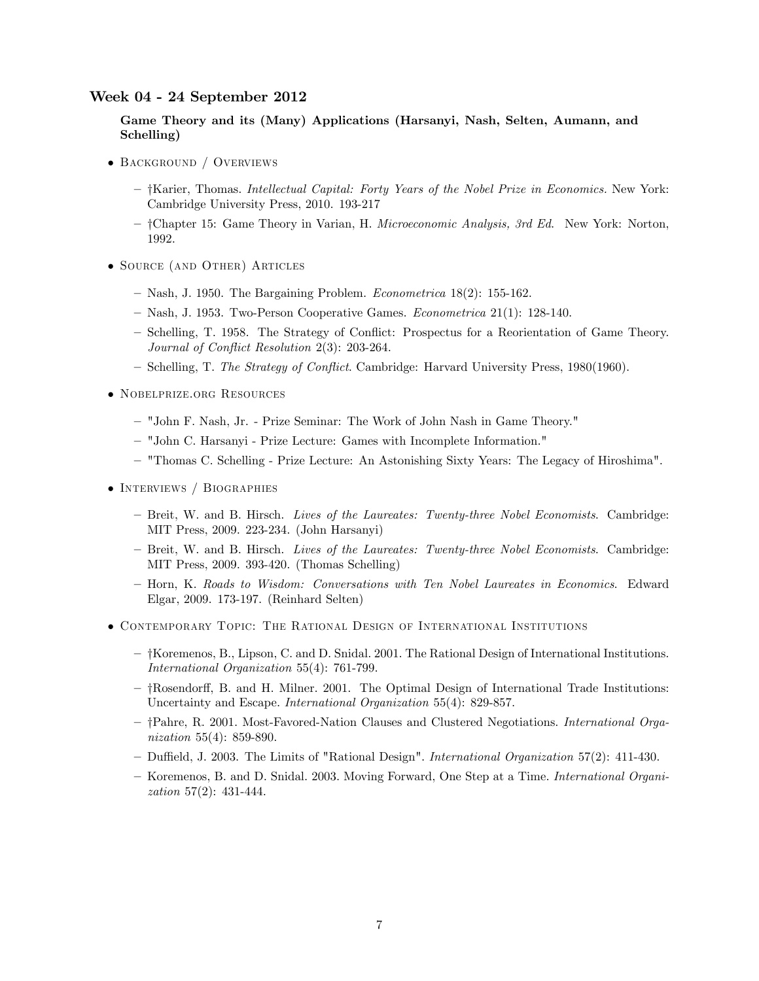#### Week 04 - 24 September 2012

Game Theory and its (Many) Applications (Harsanyi, Nash, Selten, Aumann, and Schelling)

- BACKGROUND / OVERVIEWS
	- $-$  †Karier, Thomas. Intellectual Capital: Forty Years of the Nobel Prize in Economics. New York: Cambridge University Press, 2010. 193-217
	- ñ yChapter 15: Game Theory in Varian, H. Microeconomic Analysis, 3rd Ed. New York: Norton, 1992.
- Source (and Other) Articles
	- $-$  Nash, J. 1950. The Bargaining Problem. Econometrica 18(2): 155-162.
	- $-$  Nash, J. 1953. Two-Person Cooperative Games. *Econometrica* 21(1): 128-140.
	- Schelling, T. 1958. The Strategy of Conflict: Prospectus for a Reorientation of Game Theory. Journal of Conflict Resolution  $2(3)$ : 203-264.
	- Schelling, T. The Strategy of Conflict. Cambridge: Harvard University Press, 1980(1960).
- Nobelprize.org Resources
	- ñ "John F. Nash, Jr. Prize Seminar: The Work of John Nash in Game Theory."
	- ñ "John C. Harsanyi Prize Lecture: Games with Incomplete Information."
	- ñ "Thomas C. Schelling Prize Lecture: An Astonishing Sixty Years: The Legacy of Hiroshima".
- INTERVIEWS / BIOGRAPHIES
	- Breit, W. and B. Hirsch. Lives of the Laureates: Twenty-three Nobel Economists. Cambridge: MIT Press, 2009. 223-234. (John Harsanyi)
	- Breit, W. and B. Hirsch. Lives of the Laureates: Twenty-three Nobel Economists. Cambridge: MIT Press, 2009. 393-420. (Thomas Schelling)
	- ñ Horn, K. Roads to Wisdom: Conversations with Ten Nobel Laureates in Economics. Edward Elgar, 2009. 173-197. (Reinhard Selten)
- Contemporary Topic: The Rational Design of International Institutions
	- $-$  †Koremenos, B., Lipson, C. and D. Snidal. 2001. The Rational Design of International Institutions. International Organization 55(4): 761-799.
	- $-$  †Rosendorff, B. and H. Milner. 2001. The Optimal Design of International Trade Institutions: Uncertainty and Escape. International Organization 55(4): 829-857.
	- $-$  †Pahre, R. 2001. Most-Favored-Nation Clauses and Clustered Negotiations. International Organization 55(4): 859-890.
	- Duffield, J. 2003. The Limits of "Rational Design". International Organization 57(2): 411-430.
	- Koremenos, B. and D. Snidal. 2003. Moving Forward, One Step at a Time. *International Organi*zation 57(2): 431-444.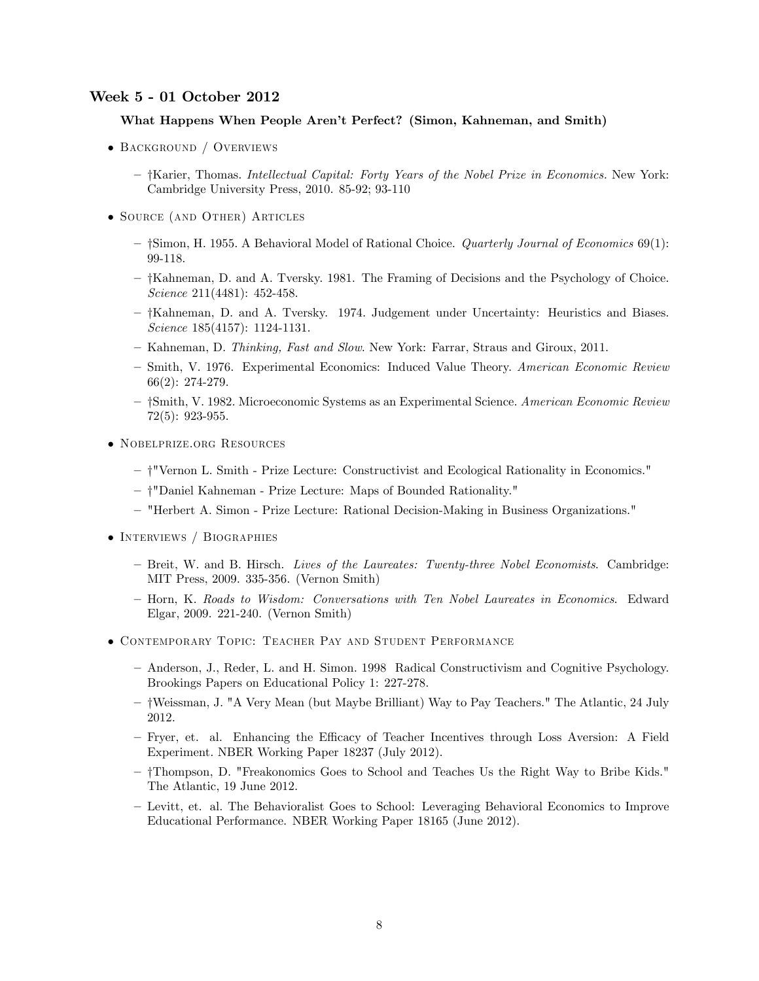# Week 5 - 01 October 2012

#### What Happens When People Arenít Perfect? (Simon, Kahneman, and Smith)

- BACKGROUND / OVERVIEWS
	- †Karier, Thomas. Intellectual Capital: Forty Years of the Nobel Prize in Economics. New York: Cambridge University Press, 2010. 85-92; 93-110
- Source (and Other) Articles
	- $-$  † Simon, H. 1955. A Behavioral Model of Rational Choice. *Quarterly Journal of Economics* 69(1): 99-118.
	- $-$  † Kahneman, D. and A. Tversky. 1981. The Framing of Decisions and the Psychology of Choice. Science 211(4481): 452-458.
	- $-$  † Kahneman, D. and A. Tversky. 1974. Judgement under Uncertainty: Heuristics and Biases. Science 185(4157): 1124-1131.
	- Kahneman, D. Thinking, Fast and Slow. New York: Farrar, Straus and Giroux, 2011.
	- Smith, V. 1976. Experimental Economics: Induced Value Theory. American Economic Review 66(2): 274-279.
	- †Smith, V. 1982. Microeconomic Systems as an Experimental Science. American Economic Review 72(5): 923-955.
- Nobelprize.org Resources
	- ñ y"Vernon L. Smith Prize Lecture: Constructivist and Ecological Rationality in Economics."
	- † "Daniel Kahneman Prize Lecture: Maps of Bounded Rationality."
	- ñ "Herbert A. Simon Prize Lecture: Rational Decision-Making in Business Organizations."
- INTERVIEWS / BIOGRAPHIES
	- Breit, W. and B. Hirsch. Lives of the Laureates: Twenty-three Nobel Economists. Cambridge: MIT Press, 2009. 335-356. (Vernon Smith)
	- Horn, K. Roads to Wisdom: Conversations with Ten Nobel Laureates in Economics. Edward Elgar, 2009. 221-240. (Vernon Smith)
- Contemporary Topic: Teacher Pay and Student Performance
	- ñ Anderson, J., Reder, L. and H. Simon. 1998 Radical Constructivism and Cognitive Psychology. Brookings Papers on Educational Policy 1: 227-278.
	- ñ yWeissman, J. "A Very Mean (but Maybe Brilliant) Way to Pay Teachers." The Atlantic, 24 July 2012.
	- Fryer, et. al. Enhancing the Efficacy of Teacher Incentives through Loss Aversion: A Field Experiment. NBER Working Paper 18237 (July 2012).
	- ñ yThompson, D. "Freakonomics Goes to School and Teaches Us the Right Way to Bribe Kids." The Atlantic, 19 June 2012.
	- ñ Levitt, et. al. The Behavioralist Goes to School: Leveraging Behavioral Economics to Improve Educational Performance. NBER Working Paper 18165 (June 2012).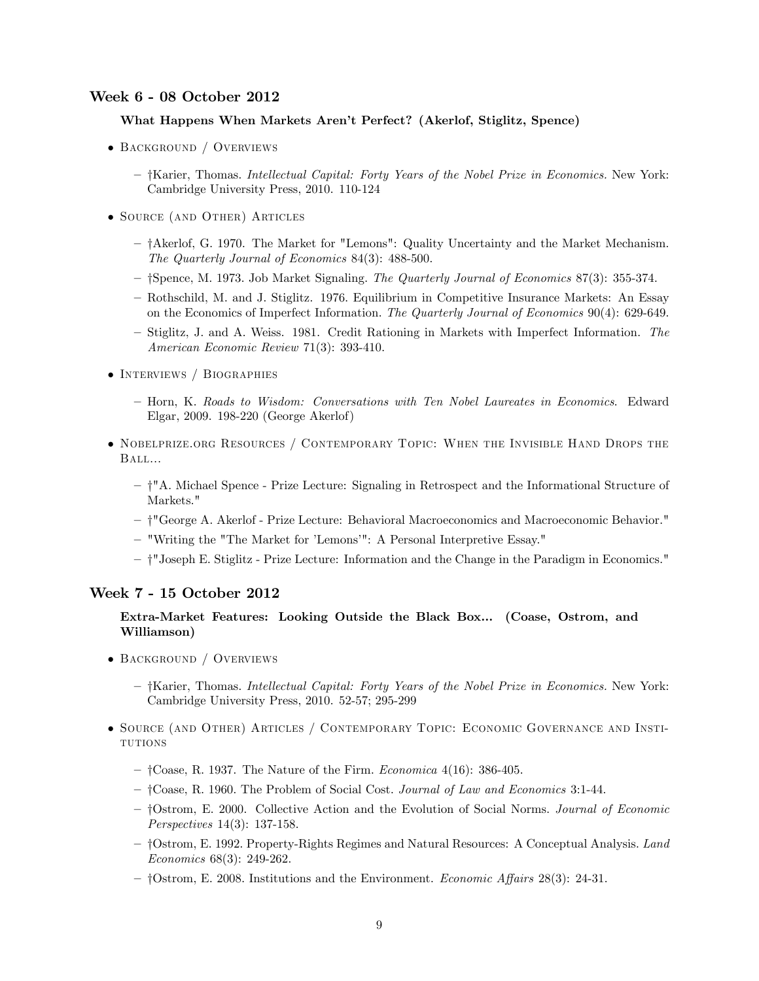# Week 6 - 08 October 2012

#### What Happens When Markets Arenít Perfect? (Akerlof, Stiglitz, Spence)

- BACKGROUND / OVERVIEWS
	- †Karier, Thomas. Intellectual Capital: Forty Years of the Nobel Prize in Economics. New York: Cambridge University Press, 2010. 110-124
- Source (and Other) Articles
	- $-$  † Akerlof, G. 1970. The Market for "Lemons": Quality Uncertainty and the Market Mechanism. The Quarterly Journal of Economics 84(3): 488-500.
	- †Spence, M. 1973. Job Market Signaling. The Quarterly Journal of Economics 87(3): 355-374.
	- ñ Rothschild, M. and J. Stiglitz. 1976. Equilibrium in Competitive Insurance Markets: An Essay on the Economics of Imperfect Information. The Quarterly Journal of Economics 90(4): 629-649.
	- Stiglitz, J. and A. Weiss. 1981. Credit Rationing in Markets with Imperfect Information. The American Economic Review 71(3): 393-410.
- INTERVIEWS / BIOGRAPHIES
	- ñ Horn, K. Roads to Wisdom: Conversations with Ten Nobel Laureates in Economics. Edward Elgar, 2009. 198-220 (George Akerlof)
- Nobelprize.org Resources / Contemporary Topic: When the Invisible Hand Drops the Ball...
	- ñ y"A. Michael Spence Prize Lecture: Signaling in Retrospect and the Informational Structure of Markets."
	- ñ y"George A. Akerlof Prize Lecture: Behavioral Macroeconomics and Macroeconomic Behavior."
	- "Writing the "The Market for 'Lemons'": A Personal Interpretive Essay."
	- ñ y"Joseph E. Stiglitz Prize Lecture: Information and the Change in the Paradigm in Economics."

#### Week 7 - 15 October 2012

# Extra-Market Features: Looking Outside the Black Box... (Coase, Ostrom, and Williamson)

- BACKGROUND / OVERVIEWS
	- $-$  †Karier, Thomas. Intellectual Capital: Forty Years of the Nobel Prize in Economics. New York: Cambridge University Press, 2010. 52-57; 295-299
- Source (and Other) Articles / Contemporary Topic: Economic Governance and Insti-**TUTIONS** 
	- $-$  †Coase, R. 1937. The Nature of the Firm. Economica 4(16): 386-405.
	- ñ yCoase, R. 1960. The Problem of Social Cost. Journal of Law and Economics 3:1-44.
	- †Ostrom, E. 2000. Collective Action and the Evolution of Social Norms. Journal of Economic Perspectives 14(3): 137-158.
	- $-$  †Ostrom, E. 1992. Property-Rights Regimes and Natural Resources: A Conceptual Analysis. Land Economics 68(3): 249-262.
	- $-$  †Ostrom, E. 2008. Institutions and the Environment. *Economic Affairs* 28(3): 24-31.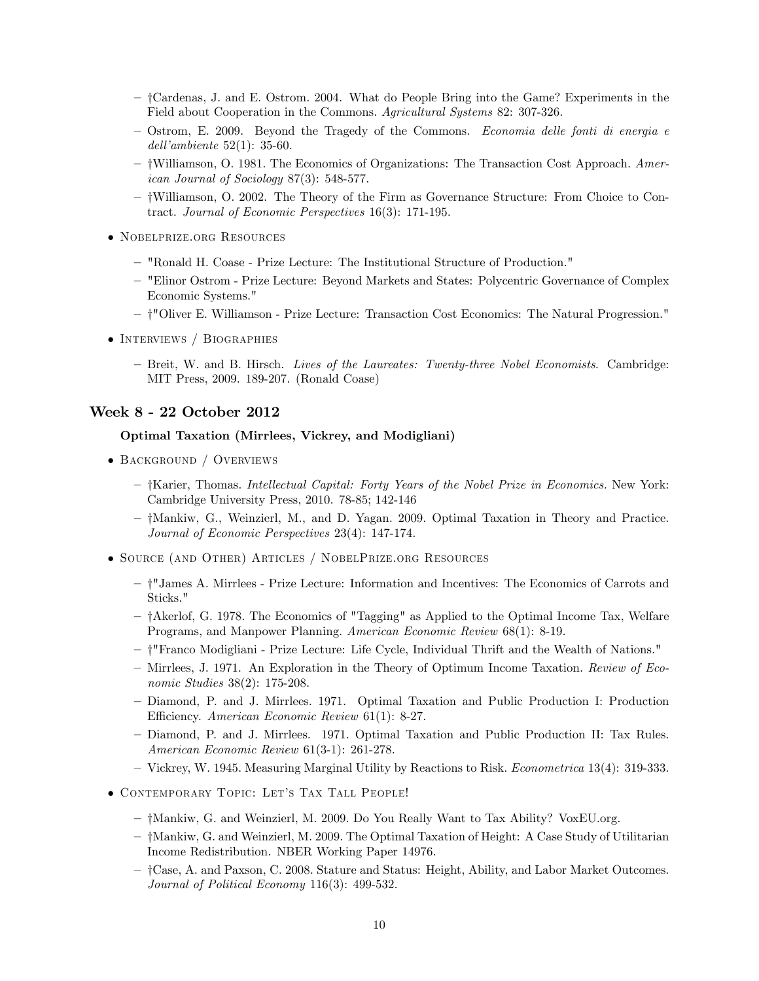- ñ yCardenas, J. and E. Ostrom. 2004. What do People Bring into the Game? Experiments in the Field about Cooperation in the Commons. Agricultural Systems 82: 307-326.
- $-$  Ostrom, E. 2009. Beyond the Tragedy of the Commons. Economia delle fonti di energia e dell'ambiente  $52(1)$ : 35-60.
- †Williamson, O. 1981. The Economics of Organizations: The Transaction Cost Approach. American Journal of Sociology 87(3): 548-577.
- ñ yWilliamson, O. 2002. The Theory of the Firm as Governance Structure: From Choice to Contract. Journal of Economic Perspectives 16(3): 171-195.
- Nobelprize.org Resources
	- ñ "Ronald H. Coase Prize Lecture: The Institutional Structure of Production."
	- ñ "Elinor Ostrom Prize Lecture: Beyond Markets and States: Polycentric Governance of Complex Economic Systems."
	- ñ y"Oliver E. Williamson Prize Lecture: Transaction Cost Economics: The Natural Progression."
- INTERVIEWS / BIOGRAPHIES
	- Breit, W. and B. Hirsch. Lives of the Laureates: Twenty-three Nobel Economists. Cambridge: MIT Press, 2009. 189-207. (Ronald Coase)

## Week 8 - 22 October 2012

# Optimal Taxation (Mirrlees, Vickrey, and Modigliani)

- BACKGROUND / OVERVIEWS
	- $-$  †Karier, Thomas. Intellectual Capital: Forty Years of the Nobel Prize in Economics. New York: Cambridge University Press, 2010. 78-85; 142-146
	- ñ yMankiw, G., Weinzierl, M., and D. Yagan. 2009. Optimal Taxation in Theory and Practice. Journal of Economic Perspectives 23(4): 147-174.
- Source (and Other) Articles / NobelPrize.org Resources
	- ñ y"James A. Mirrlees Prize Lecture: Information and Incentives: The Economics of Carrots and Sticks."
	- $-$  † Akerlof, G. 1978. The Economics of "Tagging" as Applied to the Optimal Income Tax, Welfare Programs, and Manpower Planning. American Economic Review 68(1): 8-19.
	- ñ y"Franco Modigliani Prize Lecture: Life Cycle, Individual Thrift and the Wealth of Nations."
	- Mirrlees, J. 1971. An Exploration in the Theory of Optimum Income Taxation. Review of Economic Studies 38(2): 175-208.
	- ñ Diamond, P. and J. Mirrlees. 1971. Optimal Taxation and Public Production I: Production Efficiency. American Economic Review 61(1): 8-27.
	- ñ Diamond, P. and J. Mirrlees. 1971. Optimal Taxation and Public Production II: Tax Rules. American Economic Review 61(3-1): 261-278.
	- ñ Vickrey, W. 1945. Measuring Marginal Utility by Reactions to Risk. Econometrica 13(4): 319-333.
- $\bullet$  CONTEMPORARY TOPIC: LET'S TAX TALL PEOPLE!
	- ñ yMankiw, G. and Weinzierl, M. 2009. Do You Really Want to Tax Ability? VoxEU.org.
	- $-$  †Mankiw, G. and Weinzierl, M. 2009. The Optimal Taxation of Height: A Case Study of Utilitarian Income Redistribution. NBER Working Paper 14976.
	- ñ yCase, A. and Paxson, C. 2008. Stature and Status: Height, Ability, and Labor Market Outcomes. Journal of Political Economy 116(3): 499-532.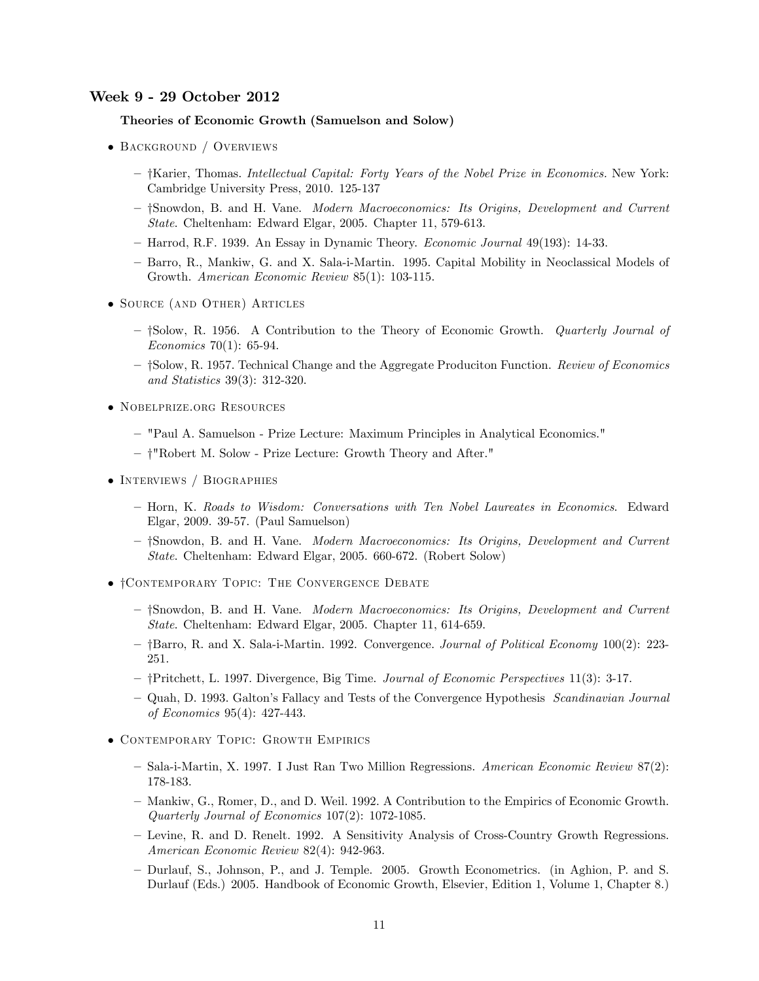### Week 9 - 29 October 2012

## Theories of Economic Growth (Samuelson and Solow)

- BACKGROUND / OVERVIEWS
	- $-$  †Karier, Thomas. Intellectual Capital: Forty Years of the Nobel Prize in Economics. New York: Cambridge University Press, 2010. 125-137
	- †Snowdon, B. and H. Vane. Modern Macroeconomics: Its Origins, Development and Current State. Cheltenham: Edward Elgar, 2005. Chapter 11, 579-613.
	- $-$  Harrod, R.F. 1939. An Essay in Dynamic Theory. *Economic Journal* 49(193): 14-33.
	- ñ Barro, R., Mankiw, G. and X. Sala-i-Martin. 1995. Capital Mobility in Neoclassical Models of Growth. American Economic Review 85(1): 103-115.
- Source (and Other) Articles
	- †Solow, R. 1956. A Contribution to the Theory of Economic Growth. *Quarterly Journal of* Economics 70(1): 65-94.
	- <sup>-</sup> †Solow, R. 1957. Technical Change and the Aggregate Produciton Function. *Review of Economics* and Statistics 39(3): 312-320.
- Nobelprize.org Resources
	- ñ "Paul A. Samuelson Prize Lecture: Maximum Principles in Analytical Economics."
	- † "Robert M. Solow Prize Lecture: Growth Theory and After."
- INTERVIEWS / BIOGRAPHIES
	- ñ Horn, K. Roads to Wisdom: Conversations with Ten Nobel Laureates in Economics. Edward Elgar, 2009. 39-57. (Paul Samuelson)
	- †Snowdon, B. and H. Vane. Modern Macroeconomics: Its Origins, Development and Current State. Cheltenham: Edward Elgar, 2005. 660-672. (Robert Solow)
- $\bullet$  † CONTEMPORARY TOPIC: THE CONVERGENCE DEBATE
	- †Snowdon, B. and H. Vane. Modern Macroeconomics: Its Origins, Development and Current State. Cheltenham: Edward Elgar, 2005. Chapter 11, 614-659.
	- ñ yBarro, R. and X. Sala-i-Martin. 1992. Convergence. Journal of Political Economy 100(2): 223- 251.
	- ñ yPritchett, L. 1997. Divergence, Big Time. Journal of Economic Perspectives 11(3): 3-17.
	- Quah, D. 1993. Galton's Fallacy and Tests of the Convergence Hypothesis Scandinavian Journal of Economics 95(4): 427-443.
- Contemporary Topic: Growth Empirics
	- ñ Sala-i-Martin, X. 1997. I Just Ran Two Million Regressions. American Economic Review 87(2): 178-183.
	- ñ Mankiw, G., Romer, D., and D. Weil. 1992. A Contribution to the Empirics of Economic Growth. Quarterly Journal of Economics 107(2): 1072-1085.
	- ñ Levine, R. and D. Renelt. 1992. A Sensitivity Analysis of Cross-Country Growth Regressions. American Economic Review 82(4): 942-963.
	- ñ Durlauf, S., Johnson, P., and J. Temple. 2005. Growth Econometrics. (in Aghion, P. and S. Durlauf (Eds.) 2005. Handbook of Economic Growth, Elsevier, Edition 1, Volume 1, Chapter 8.)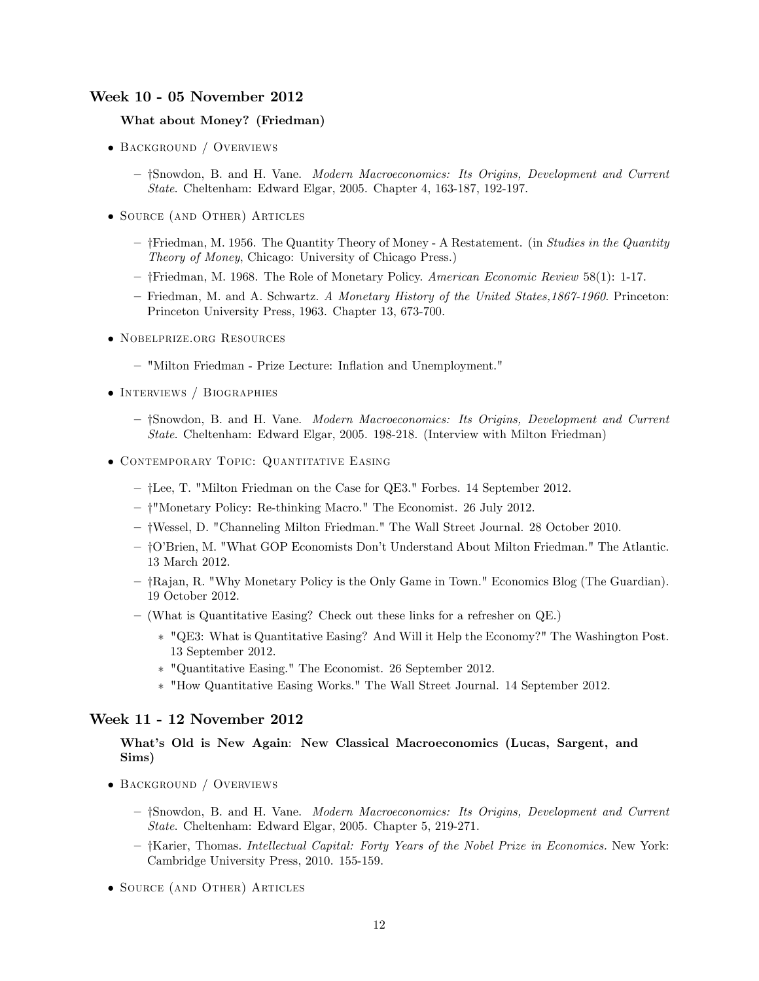# Week 10 - 05 November 2012

#### What about Money? (Friedman)

- BACKGROUND / OVERVIEWS
	- †Snowdon, B. and H. Vane. Modern Macroeconomics: Its Origins, Development and Current State. Cheltenham: Edward Elgar, 2005. Chapter 4, 163-187, 192-197.
- Source (and Other) Articles
	- † Friedman, M. 1956. The Quantity Theory of Money A Restatement. (in Studies in the Quantity Theory of Money, Chicago: University of Chicago Press.)
	- ñ yFriedman, M. 1968. The Role of Monetary Policy. American Economic Review 58(1): 1-17.
	- Friedman, M. and A. Schwartz. A Monetary History of the United States, 1867-1960. Princeton: Princeton University Press, 1963. Chapter 13, 673-700.
- Nobelprize.org Resources
	- "Milton Friedman Prize Lecture: Inflation and Unemployment."
- INTERVIEWS / BIOGRAPHIES
	- †Snowdon, B. and H. Vane. Modern Macroeconomics: Its Origins, Development and Current State. Cheltenham: Edward Elgar, 2005. 198-218. (Interview with Milton Friedman)
- CONTEMPORARY TOPIC: QUANTITATIVE EASING
	- ñ yLee, T. "Milton Friedman on the Case for QE3." Forbes. 14 September 2012.
	- † "Monetary Policy: Re-thinking Macro." The Economist. 26 July 2012.
	- ñ yWessel, D. "Channeling Milton Friedman." The Wall Street Journal. 28 October 2010.
	- ñ yOíBrien, M. "What GOP Economists Donít Understand About Milton Friedman." The Atlantic. 13 March 2012.
	- $\mathcal{L} = \{Raian, R.$  "Why Monetary Policy is the Only Game in Town." Economics Blog (The Guardian). 19 October 2012.
	- $\sim$  (What is Quantitative Easing? Check out these links for a refresher on QE.)
		- "QE3: What is Quantitative Easing? And Will it Help the Economy?" The Washington Post. 13 September 2012.
		- "Quantitative Easing." The Economist. 26 September 2012.
		- "How Quantitative Easing Works." The Wall Street Journal. 14 September 2012.

#### Week 11 - 12 November 2012

# What's Old is New Again: New Classical Macroeconomics (Lucas, Sargent, and Sims)

- BACKGROUND / OVERVIEWS
	- $\dagger$ Snowdon, B. and H. Vane. Modern Macroeconomics: Its Origins, Development and Current State. Cheltenham: Edward Elgar, 2005. Chapter 5, 219-271.
	- $-$  †Karier, Thomas. Intellectual Capital: Forty Years of the Nobel Prize in Economics. New York: Cambridge University Press, 2010. 155-159.
- Source (and Other) Articles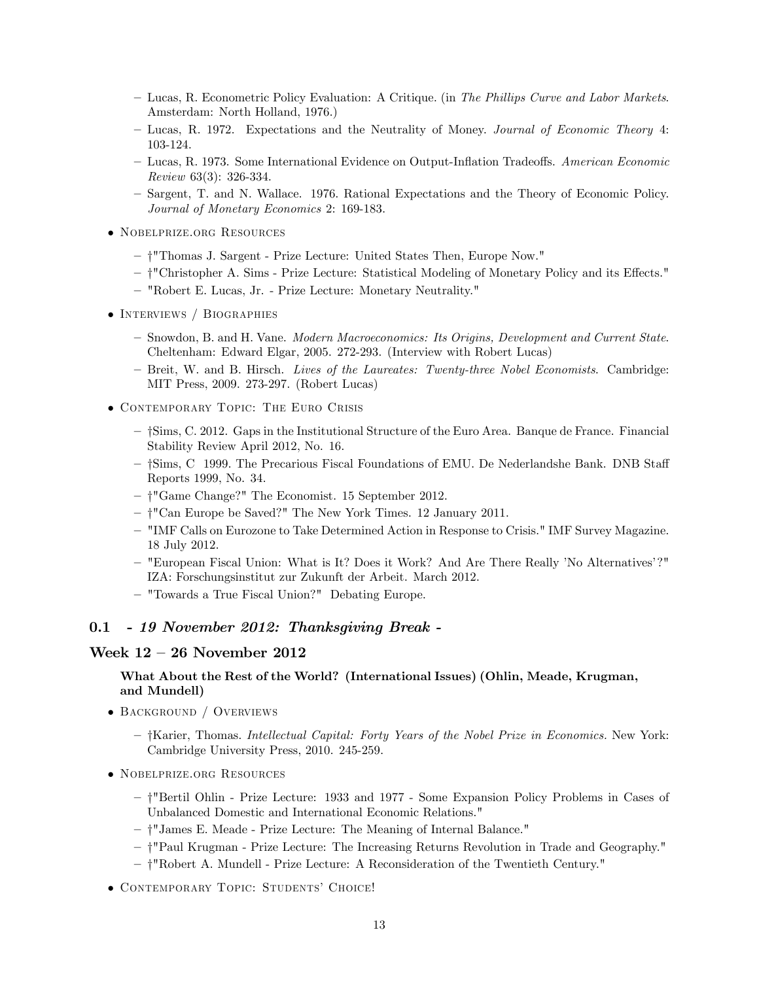- ñ Lucas, R. Econometric Policy Evaluation: A Critique. (in The Phillips Curve and Labor Markets. Amsterdam: North Holland, 1976.)
- Lucas, R. 1972. Expectations and the Neutrality of Money. Journal of Economic Theory 4: 103-124.
- ñ Lucas, R. 1973. Some International Evidence on Output-Ináation Tradeo§s. American Economic Review 63(3): 326-334.
- ñ Sargent, T. and N. Wallace. 1976. Rational Expectations and the Theory of Economic Policy. Journal of Monetary Economics 2: 169-183.
- Nobelprize.org Resources
	- ñ y"Thomas J. Sargent Prize Lecture: United States Then, Europe Now."
	- <sup>-</sup> †"Christopher A. Sims Prize Lecture: Statistical Modeling of Monetary Policy and its Effects."
	- ñ "Robert E. Lucas, Jr. Prize Lecture: Monetary Neutrality."
- INTERVIEWS / BIOGRAPHIES
	- Snowdon, B. and H. Vane. Modern Macroeconomics: Its Origins, Development and Current State. Cheltenham: Edward Elgar, 2005. 272-293. (Interview with Robert Lucas)
	- Breit, W. and B. Hirsch. Lives of the Laureates: Twenty-three Nobel Economists. Cambridge: MIT Press, 2009. 273-297. (Robert Lucas)
- Contemporary Topic: The Euro Crisis
	- $-$  †Sims, C. 2012. Gaps in the Institutional Structure of the Euro Area. Banque de France. Financial Stability Review April 2012, No. 16.
	- $-$  †Sims, C 1999. The Precarious Fiscal Foundations of EMU. De Nederlandshe Bank. DNB Staff Reports 1999, No. 34.
	- $\dagger$ "Game Change?" The Economist. 15 September 2012.
	- † "Can Europe be Saved?" The New York Times. 12 January 2011.
	- ñ "IMF Calls on Eurozone to Take Determined Action in Response to Crisis." IMF Survey Magazine. 18 July 2012.
	- ñ "European Fiscal Union: What is It? Does it Work? And Are There Really íNo Alternativesí?" IZA: Forschungsinstitut zur Zukunft der Arbeit. March 2012.
	- "Towards a True Fiscal Union?" Debating Europe.

# 0.1 - 19 November 2012: Thanksgiving Break -

#### Week  $12 - 26$  November 2012

### What About the Rest of the World? (International Issues) (Ohlin, Meade, Krugman, and Mundell)

- BACKGROUND / OVERVIEWS
	- $-$  †Karier, Thomas. Intellectual Capital: Forty Years of the Nobel Prize in Economics. New York: Cambridge University Press, 2010. 245-259.
- Nobelprize.org Resources
	- ñ y"Bertil Ohlin Prize Lecture: 1933 and 1977 Some Expansion Policy Problems in Cases of Unbalanced Domestic and International Economic Relations."
	- †"James E. Meade Prize Lecture: The Meaning of Internal Balance."
	- ñ y"Paul Krugman Prize Lecture: The Increasing Returns Revolution in Trade and Geography."
	- ñ y"Robert A. Mundell Prize Lecture: A Reconsideration of the Twentieth Century."
- CONTEMPORARY TOPIC: STUDENTS' CHOICE!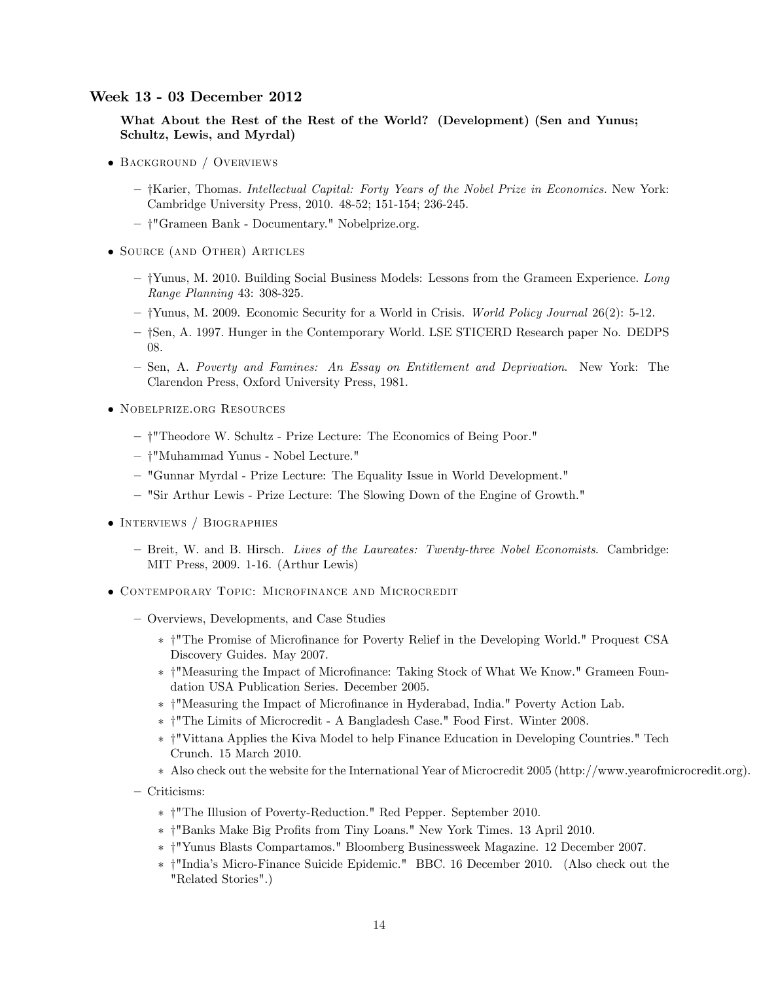# Week 13 - 03 December 2012

What About the Rest of the Rest of the World? (Development) (Sen and Yunus; Schultz, Lewis, and Myrdal)

- BACKGROUND / OVERVIEWS
	- $-$  †Karier, Thomas. Intellectual Capital: Forty Years of the Nobel Prize in Economics. New York: Cambridge University Press, 2010. 48-52; 151-154; 236-245.
	- † "Grameen Bank Documentary." Nobelprize.org.
- Source (and Other) Articles
	- $-$  † Yunus, M. 2010. Building Social Business Models: Lessons from the Grameen Experience. Long Range Planning 43: 308-325.
	- $-$  † Yunus, M. 2009. Economic Security for a World in Crisis. World Policy Journal 26(2): 5-12.
	- $-$  †Sen, A. 1997. Hunger in the Contemporary World. LSE STICERD Research paper No. DEDPS 08.
	- Sen, A. Poverty and Famines: An Essay on Entitlement and Deprivation. New York: The Clarendon Press, Oxford University Press, 1981.
- Nobelprize.org Resources
	- †"Theodore W. Schultz Prize Lecture: The Economics of Being Poor."
	- † "Muhammad Yunus Nobel Lecture."
	- ñ "Gunnar Myrdal Prize Lecture: The Equality Issue in World Development."
	- "Sir Arthur Lewis Prize Lecture: The Slowing Down of the Engine of Growth."
- INTERVIEWS / BIOGRAPHIES
	- Breit, W. and B. Hirsch. Lives of the Laureates: Twenty-three Nobel Economists. Cambridge: MIT Press, 2009. 1-16. (Arthur Lewis)
- Contemporary Topic: Microfinance and Microcredit
	- Overviews, Developments, and Case Studies
		- \* †"The Promise of Microfinance for Poverty Relief in the Developing World." Proquest CSA Discovery Guides. May 2007.
		- \* † "Measuring the Impact of Microfinance: Taking Stock of What We Know." Grameen Foundation USA Publication Series. December 2005.
		- y"Measuring the Impact of MicroÖnance in Hyderabad, India." Poverty Action Lab.
		- y"The Limits of Microcredit A Bangladesh Case." Food First. Winter 2008.
		- y"Vittana Applies the Kiva Model to help Finance Education in Developing Countries." Tech Crunch. 15 March 2010.
		- Also check out the website for the International Year of Microcredit 2005 (http://www.yearofmicrocredit.org).
	- Criticisms:
		- y"The Illusion of Poverty-Reduction." Red Pepper. September 2010.
		- y"Banks Make Big ProÖts from Tiny Loans." New York Times. 13 April 2010.
		- y"Yunus Blasts Compartamos." Bloomberg Businessweek Magazine. 12 December 2007.
		- y"Indiaís Micro-Finance Suicide Epidemic." BBC. 16 December 2010. (Also check out the "Related Stories".)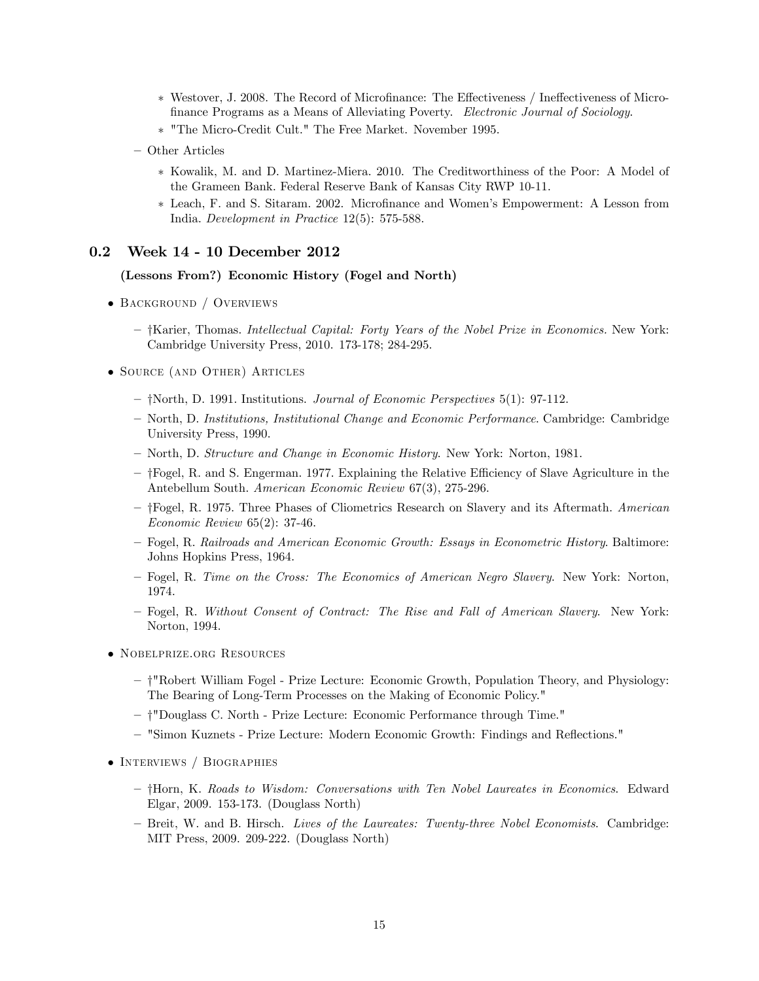- \* Westover, J. 2008. The Record of Microfinance: The Effectiveness / Ineffectiveness of Microfinance Programs as a Means of Alleviating Poverty. Electronic Journal of Sociology.
- "The Micro-Credit Cult." The Free Market. November 1995.
- Other Articles
	- Kowalik, M. and D. Martinez-Miera. 2010. The Creditworthiness of the Poor: A Model of the Grameen Bank. Federal Reserve Bank of Kansas City RWP 10-11.
	- \* Leach, F. and S. Sitaram. 2002. Microfinance and Women's Empowerment: A Lesson from India. Development in Practice 12(5): 575-588.

### 0.2 Week 14 - 10 December 2012

#### (Lessons From?) Economic History (Fogel and North)

- Background / Overviews
	- $-$  †Karier, Thomas. Intellectual Capital: Forty Years of the Nobel Prize in Economics. New York: Cambridge University Press, 2010. 173-178; 284-295.
- Source (and Other) Articles
	- $-$  †North, D. 1991. Institutions. *Journal of Economic Perspectives* 5(1): 97-112.
	- ñ North, D. Institutions, Institutional Change and Economic Performance. Cambridge: Cambridge University Press, 1990.
	- ñ North, D. Structure and Change in Economic History. New York: Norton, 1981.
	- $-$  † Fogel, R. and S. Engerman. 1977. Explaining the Relative Efficiency of Slave Agriculture in the Antebellum South. American Economic Review 67(3), 275-296.
	- † Fogel, R. 1975. Three Phases of Cliometrics Research on Slavery and its Aftermath. American Economic Review 65(2): 37-46.
	- ñ Fogel, R. Railroads and American Economic Growth: Essays in Econometric History. Baltimore: Johns Hopkins Press, 1964.
	- ñ Fogel, R. Time on the Cross: The Economics of American Negro Slavery. New York: Norton, 1974.
	- ñ Fogel, R. Without Consent of Contract: The Rise and Fall of American Slavery. New York: Norton, 1994.
- Nobelprize.org Resources
	- ñ y"Robert William Fogel Prize Lecture: Economic Growth, Population Theory, and Physiology: The Bearing of Long-Term Processes on the Making of Economic Policy."
	- † "Douglass C. North Prize Lecture: Economic Performance through Time."
	- $-$  "Simon Kuznets Prize Lecture: Modern Economic Growth: Findings and Reflections."
- INTERVIEWS / BIOGRAPHIES
	- †Horn, K. Roads to Wisdom: Conversations with Ten Nobel Laureates in Economics. Edward Elgar, 2009. 153-173. (Douglass North)
	- Breit, W. and B. Hirsch. Lives of the Laureates: Twenty-three Nobel Economists. Cambridge: MIT Press, 2009. 209-222. (Douglass North)